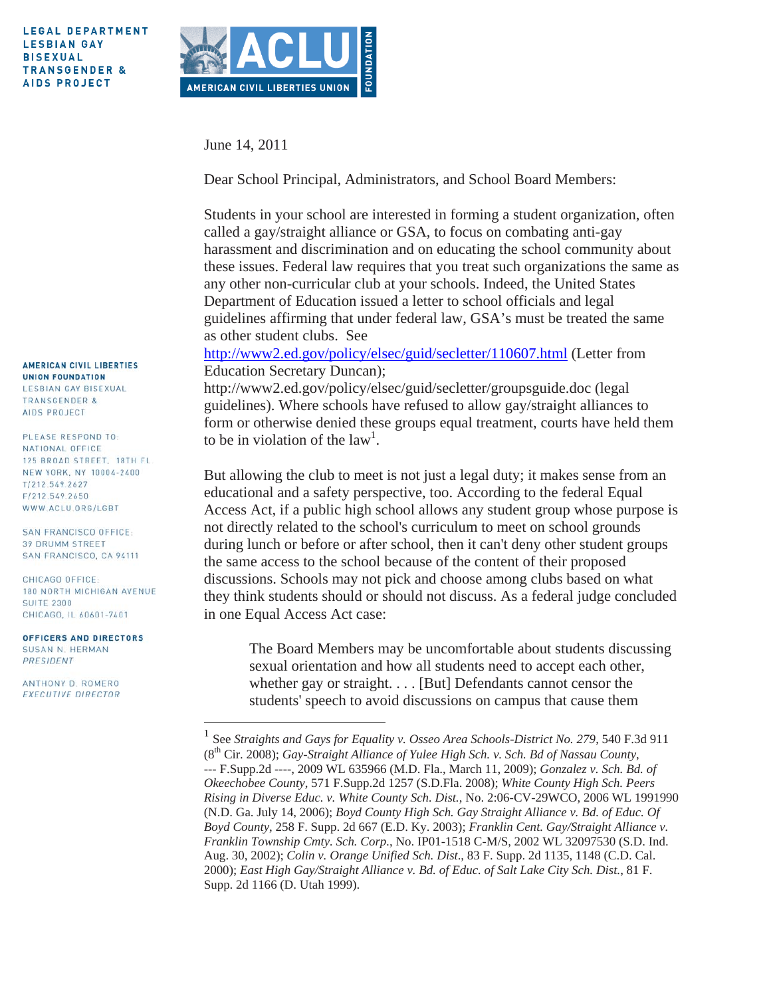

June 14, 2011

Dear School Principal, Administrators, and School Board Members:

Students in your school are interested in forming a student organization, often called a gay/straight alliance or GSA, to focus on combating anti-gay harassment and discrimination and on educating the school community about these issues. Federal law requires that you treat such organizations the same as any other non-curricular club at your schools. Indeed, the United States Department of Education issued a letter to school officials and legal guidelines affirming that under federal law, GSA's must be treated the same as other student clubs. See

http://www2.ed.gov/policy/elsec/guid/secletter/110607.html (Letter from Education Secretary Duncan);

http://www2.ed.gov/policy/elsec/guid/secletter/groupsguide.doc (legal guidelines). Where schools have refused to allow gay/straight alliances to form or otherwise denied these groups equal treatment, courts have held them to be in violation of the  $law<sup>1</sup>$ .

But allowing the club to meet is not just a legal duty; it makes sense from an educational and a safety perspective, too. According to the federal Equal Access Act, if a public high school allows any student group whose purpose is not directly related to the school's curriculum to meet on school grounds during lunch or before or after school, then it can't deny other student groups the same access to the school because of the content of their proposed discussions. Schools may not pick and choose among clubs based on what they think students should or should not discuss. As a federal judge concluded in one Equal Access Act case:

The Board Members may be uncomfortable about students discussing sexual orientation and how all students need to accept each other, whether gay or straight. . . . [But] Defendants cannot censor the students' speech to avoid discussions on campus that cause them

## **AMERICAN CIVIL LIBERTIES UNION FOUNDATION LESBIAN GAY BISEXUAL**

**TRANSGENDER &** AIDS PROJECT

PLEASE RESPOND TO: NATIONAL OFFICE 125 BROAD STREET, 18TH FL. NEW YORK, NY 10004-2400 T/212.549.2627 F/212.549.2650 WWW.ACLU.ORG/LGBT

**SAN FRANCISCO OFFICE: 39 DRUMM STREET** SAN FRANCISCO, CA 94111

CHICAGO OFFICE: 180 NORTH MICHIGAN AVENUE **SUITE 2300** CHICAGO, IL 60601-7401

OFFICERS AND DIRECTORS SUSAN N. HERMAN PRESIDENT

 $\overline{a}$ 

ANTHONY D. ROMERO EXECUTIVE DIRECTOR

<sup>1</sup> See *Straights and Gays for Equality v. Osseo Area Schools-District No. 279*, 540 F.3d 911 (8th Cir. 2008); *Gay-Straight Alliance of Yulee High Sch. v. Sch. Bd of Nassau County*, --- F.Supp.2d ----, 2009 WL 635966 (M.D. Fla., March 11, 2009); *Gonzalez v. Sch. Bd. of Okeechobee County*, 571 F.Supp.2d 1257 (S.D.Fla. 2008); *White County High Sch. Peers Rising in Diverse Educ. v. White County Sch. Dist.*, No. 2:06-CV-29WCO, 2006 WL 1991990 (N.D. Ga. July 14, 2006); *Boyd County High Sch. Gay Straight Alliance v. Bd. of Educ. Of Boyd County*, 258 F. Supp. 2d 667 (E.D. Ky. 2003); *Franklin Cent. Gay/Straight Alliance v. Franklin Township Cmty. Sch. Corp.*, No. IP01-1518 C-M/S, 2002 WL 32097530 (S.D. Ind. Aug. 30, 2002); *Colin v. Orange Unified Sch. Dist*., 83 F. Supp. 2d 1135, 1148 (C.D. Cal. 2000); *East High Gay/Straight Alliance v. Bd. of Educ. of Salt Lake City Sch. Dist.*, 81 F. Supp. 2d 1166 (D. Utah 1999).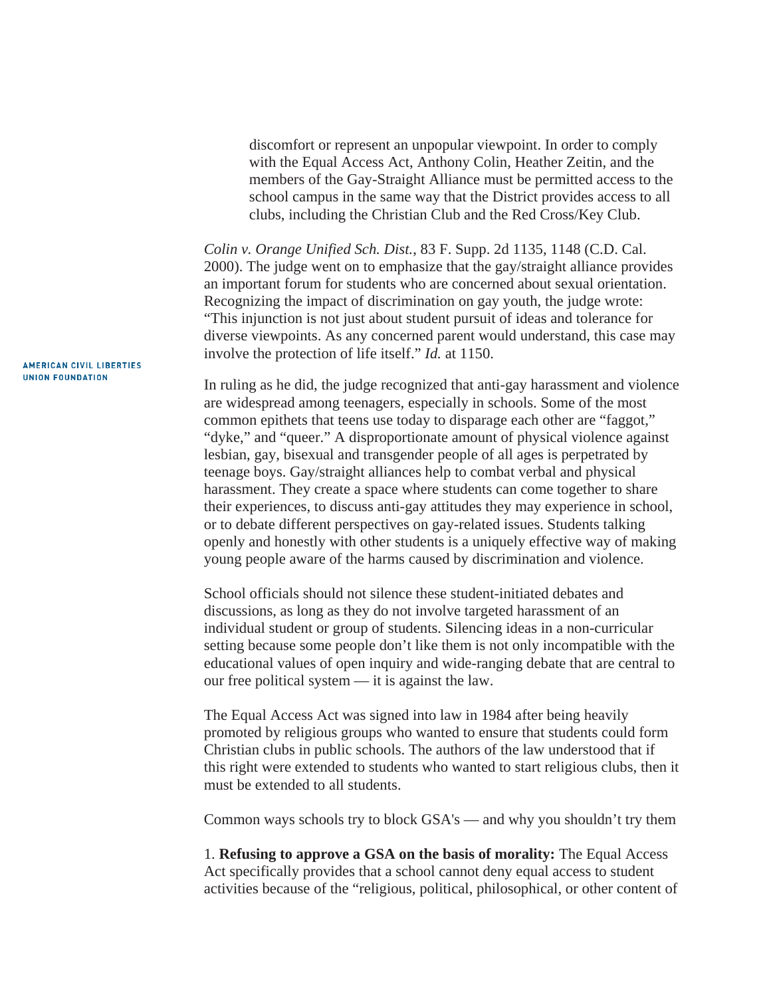discomfort or represent an unpopular viewpoint. In order to comply with the Equal Access Act, Anthony Colin, Heather Zeitin, and the members of the Gay-Straight Alliance must be permitted access to the school campus in the same way that the District provides access to all clubs, including the Christian Club and the Red Cross/Key Club.

*Colin v. Orange Unified Sch. Dist.*, 83 F. Supp. 2d 1135, 1148 (C.D. Cal. 2000). The judge went on to emphasize that the gay/straight alliance provides an important forum for students who are concerned about sexual orientation. Recognizing the impact of discrimination on gay youth, the judge wrote: "This injunction is not just about student pursuit of ideas and tolerance for diverse viewpoints. As any concerned parent would understand, this case may involve the protection of life itself." *Id.* at 1150.

In ruling as he did, the judge recognized that anti-gay harassment and violence are widespread among teenagers, especially in schools. Some of the most common epithets that teens use today to disparage each other are "faggot," "dyke," and "queer." A disproportionate amount of physical violence against lesbian, gay, bisexual and transgender people of all ages is perpetrated by teenage boys. Gay/straight alliances help to combat verbal and physical harassment. They create a space where students can come together to share their experiences, to discuss anti-gay attitudes they may experience in school, or to debate different perspectives on gay-related issues. Students talking openly and honestly with other students is a uniquely effective way of making young people aware of the harms caused by discrimination and violence.

School officials should not silence these student-initiated debates and discussions, as long as they do not involve targeted harassment of an individual student or group of students. Silencing ideas in a non-curricular setting because some people don't like them is not only incompatible with the educational values of open inquiry and wide-ranging debate that are central to our free political system — it is against the law.

The Equal Access Act was signed into law in 1984 after being heavily promoted by religious groups who wanted to ensure that students could form Christian clubs in public schools. The authors of the law understood that if this right were extended to students who wanted to start religious clubs, then it must be extended to all students.

Common ways schools try to block GSA's — and why you shouldn't try them

1. **Refusing to approve a GSA on the basis of morality:** The Equal Access Act specifically provides that a school cannot deny equal access to student activities because of the "religious, political, philosophical, or other content of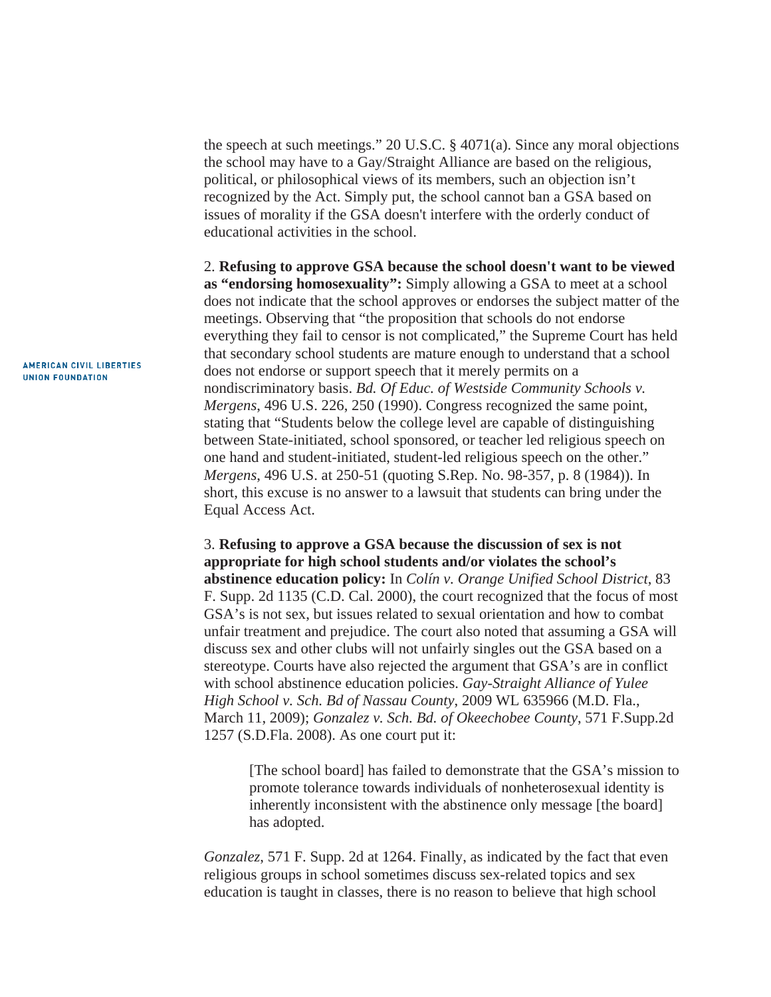the speech at such meetings." 20 U.S.C. § 4071(a). Since any moral objections the school may have to a Gay/Straight Alliance are based on the religious, political, or philosophical views of its members, such an objection isn't recognized by the Act. Simply put, the school cannot ban a GSA based on issues of morality if the GSA doesn't interfere with the orderly conduct of educational activities in the school.

2. **Refusing to approve GSA because the school doesn't want to be viewed as "endorsing homosexuality":** Simply allowing a GSA to meet at a school does not indicate that the school approves or endorses the subject matter of the meetings. Observing that "the proposition that schools do not endorse everything they fail to censor is not complicated," the Supreme Court has held that secondary school students are mature enough to understand that a school does not endorse or support speech that it merely permits on a nondiscriminatory basis. *Bd. Of Educ. of Westside Community Schools v. Mergens*, 496 U.S. 226, 250 (1990). Congress recognized the same point, stating that "Students below the college level are capable of distinguishing between State-initiated, school sponsored, or teacher led religious speech on one hand and student-initiated, student-led religious speech on the other." *Mergens*, 496 U.S. at 250-51 (quoting S.Rep. No. 98-357, p. 8 (1984)). In short, this excuse is no answer to a lawsuit that students can bring under the Equal Access Act.

3. **Refusing to approve a GSA because the discussion of sex is not appropriate for high school students and/or violates the school's abstinence education policy:** In *Colín v. Orange Unified School District*, 83 F. Supp. 2d 1135 (C.D. Cal. 2000), the court recognized that the focus of most GSA's is not sex, but issues related to sexual orientation and how to combat unfair treatment and prejudice. The court also noted that assuming a GSA will discuss sex and other clubs will not unfairly singles out the GSA based on a stereotype. Courts have also rejected the argument that GSA's are in conflict with school abstinence education policies. *Gay-Straight Alliance of Yulee High School v. Sch. Bd of Nassau County*, 2009 WL 635966 (M.D. Fla., March 11, 2009); *Gonzalez v. Sch. Bd. of Okeechobee County*, 571 F.Supp.2d 1257 (S.D.Fla. 2008). As one court put it:

[The school board] has failed to demonstrate that the GSA's mission to promote tolerance towards individuals of nonheterosexual identity is inherently inconsistent with the abstinence only message [the board] has adopted.

*Gonzalez*, 571 F. Supp. 2d at 1264. Finally, as indicated by the fact that even religious groups in school sometimes discuss sex-related topics and sex education is taught in classes, there is no reason to believe that high school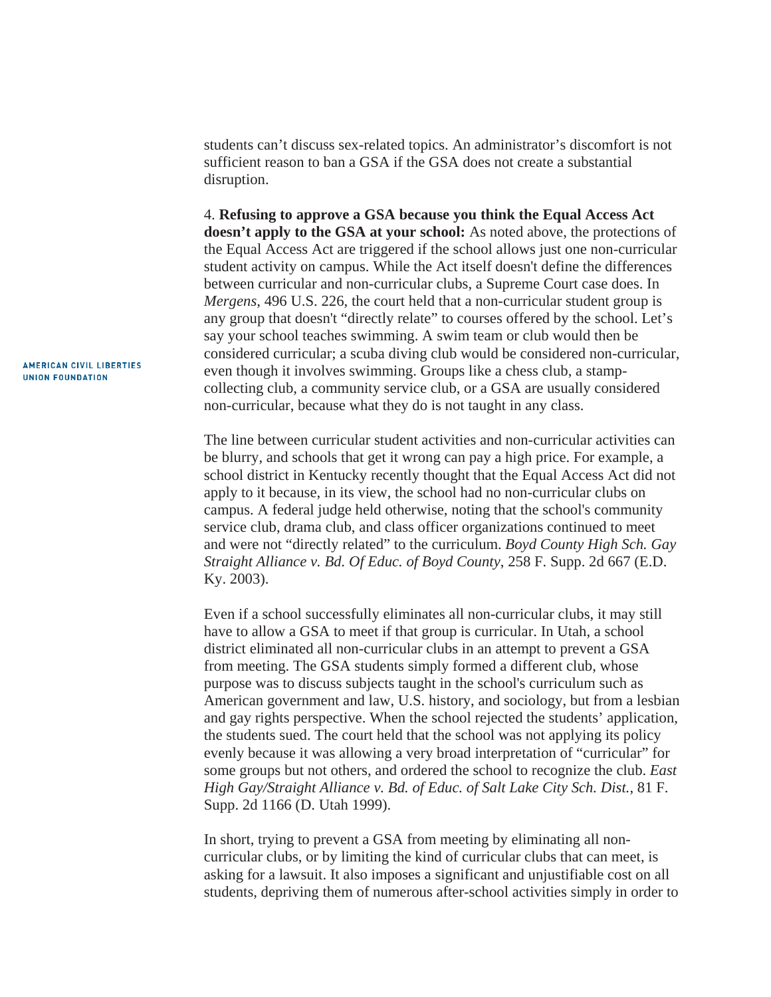students can't discuss sex-related topics. An administrator's discomfort is not sufficient reason to ban a GSA if the GSA does not create a substantial disruption.

4. **Refusing to approve a GSA because you think the Equal Access Act doesn't apply to the GSA at your school:** As noted above, the protections of the Equal Access Act are triggered if the school allows just one non-curricular student activity on campus. While the Act itself doesn't define the differences between curricular and non-curricular clubs, a Supreme Court case does. In *Mergens*, 496 U.S. 226, the court held that a non-curricular student group is any group that doesn't "directly relate" to courses offered by the school. Let's say your school teaches swimming. A swim team or club would then be considered curricular; a scuba diving club would be considered non-curricular, even though it involves swimming. Groups like a chess club, a stampcollecting club, a community service club, or a GSA are usually considered non-curricular, because what they do is not taught in any class.

The line between curricular student activities and non-curricular activities can be blurry, and schools that get it wrong can pay a high price. For example, a school district in Kentucky recently thought that the Equal Access Act did not apply to it because, in its view, the school had no non-curricular clubs on campus. A federal judge held otherwise, noting that the school's community service club, drama club, and class officer organizations continued to meet and were not "directly related" to the curriculum. *Boyd County High Sch. Gay Straight Alliance v. Bd. Of Educ. of Boyd County*, 258 F. Supp. 2d 667 (E.D. Ky. 2003).

Even if a school successfully eliminates all non-curricular clubs, it may still have to allow a GSA to meet if that group is curricular. In Utah, a school district eliminated all non-curricular clubs in an attempt to prevent a GSA from meeting. The GSA students simply formed a different club, whose purpose was to discuss subjects taught in the school's curriculum such as American government and law, U.S. history, and sociology, but from a lesbian and gay rights perspective. When the school rejected the students' application, the students sued. The court held that the school was not applying its policy evenly because it was allowing a very broad interpretation of "curricular" for some groups but not others, and ordered the school to recognize the club. *East High Gay/Straight Alliance v. Bd. of Educ. of Salt Lake City Sch. Dist.*, 81 F. Supp. 2d 1166 (D. Utah 1999).

In short, trying to prevent a GSA from meeting by eliminating all noncurricular clubs, or by limiting the kind of curricular clubs that can meet, is asking for a lawsuit. It also imposes a significant and unjustifiable cost on all students, depriving them of numerous after-school activities simply in order to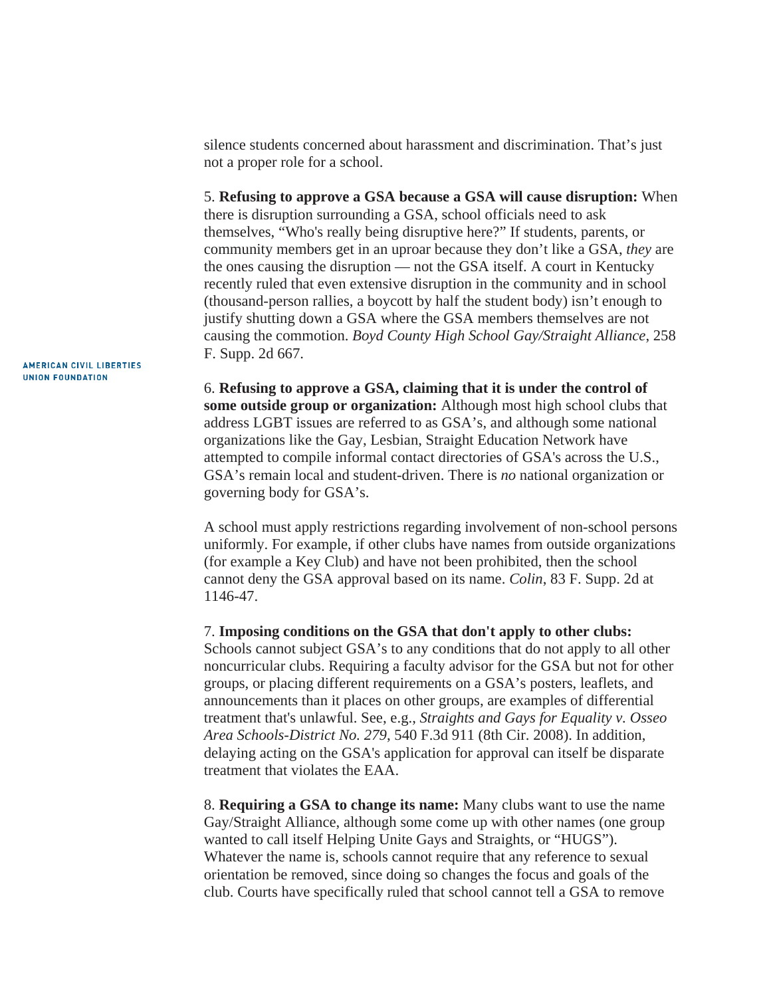silence students concerned about harassment and discrimination. That's just not a proper role for a school.

5. **Refusing to approve a GSA because a GSA will cause disruption:** When there is disruption surrounding a GSA, school officials need to ask themselves, "Who's really being disruptive here?" If students, parents, or community members get in an uproar because they don't like a GSA, *they* are the ones causing the disruption — not the GSA itself. A court in Kentucky recently ruled that even extensive disruption in the community and in school (thousand-person rallies, a boycott by half the student body) isn't enough to justify shutting down a GSA where the GSA members themselves are not causing the commotion. *Boyd County High School Gay/Straight Alliance*, 258 F. Supp. 2d 667.

6. **Refusing to approve a GSA, claiming that it is under the control of some outside group or organization:** Although most high school clubs that address LGBT issues are referred to as GSA's, and although some national organizations like the Gay, Lesbian, Straight Education Network have attempted to compile informal contact directories of GSA's across the U.S., GSA's remain local and student-driven. There is *no* national organization or governing body for GSA's.

A school must apply restrictions regarding involvement of non-school persons uniformly. For example, if other clubs have names from outside organizations (for example a Key Club) and have not been prohibited, then the school cannot deny the GSA approval based on its name. *Colin*, 83 F. Supp. 2d at 1146-47.

## 7. **Imposing conditions on the GSA that don't apply to other clubs:**

Schools cannot subject GSA's to any conditions that do not apply to all other noncurricular clubs. Requiring a faculty advisor for the GSA but not for other groups, or placing different requirements on a GSA's posters, leaflets, and announcements than it places on other groups, are examples of differential treatment that's unlawful. See, e.g., *Straights and Gays for Equality v. Osseo Area Schools-District No. 279*, 540 F.3d 911 (8th Cir. 2008). In addition, delaying acting on the GSA's application for approval can itself be disparate treatment that violates the EAA.

8. **Requiring a GSA to change its name:** Many clubs want to use the name Gay/Straight Alliance, although some come up with other names (one group wanted to call itself Helping Unite Gays and Straights, or "HUGS"). Whatever the name is, schools cannot require that any reference to sexual orientation be removed, since doing so changes the focus and goals of the club. Courts have specifically ruled that school cannot tell a GSA to remove